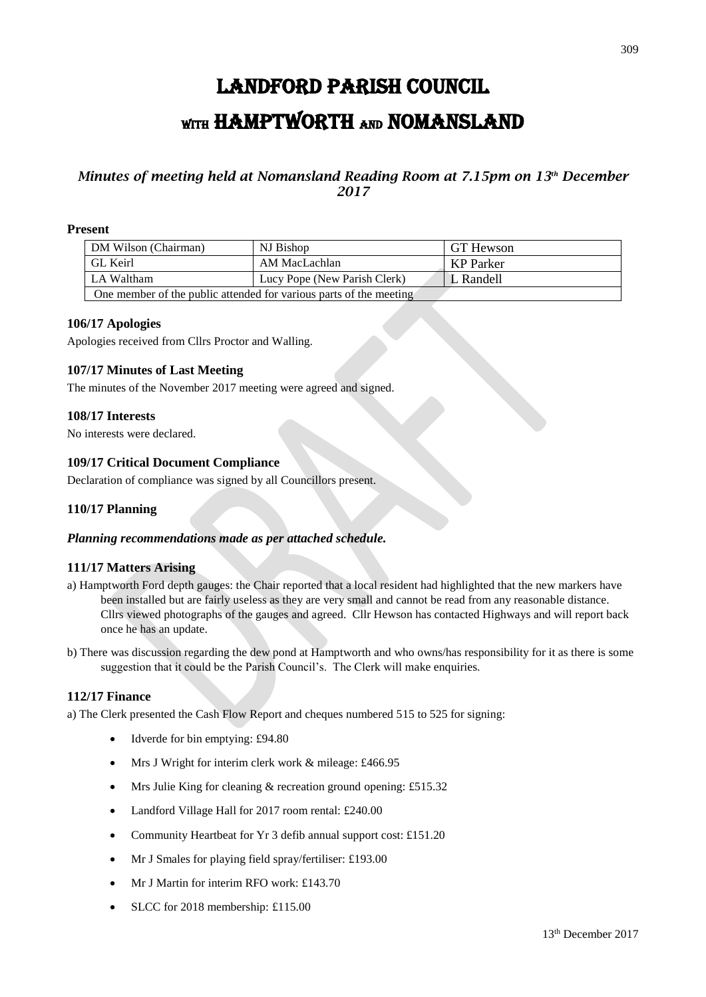# LANDFORD PARISH COUNCIL WITH HAMPTWORTH AND NOMANSLAND

## *Minutes of meeting held at Nomansland Reading Room at 7.15pm on 13th December 2017*

### **Present**

| DM Wilson (Chairman)                                               | NJ Bishop                    | GT Hewson |
|--------------------------------------------------------------------|------------------------------|-----------|
| <b>GL Keirl</b>                                                    | AM MacLachlan                | KP Parker |
| LA Waltham                                                         | Lucy Pope (New Parish Clerk) | L Randell |
| One member of the public attended for various parts of the meeting |                              |           |

#### **106/17 Apologies**

Apologies received from Cllrs Proctor and Walling.

## **107/17 Minutes of Last Meeting**

The minutes of the November 2017 meeting were agreed and signed.

#### **108/17 Interests**

No interests were declared.

## **109/17 Critical Document Compliance**

Declaration of compliance was signed by all Councillors present.

## **110/17 Planning**

#### *Planning recommendations made as per attached schedule.*

## **111/17 Matters Arising**

- a) Hamptworth Ford depth gauges: the Chair reported that a local resident had highlighted that the new markers have been installed but are fairly useless as they are very small and cannot be read from any reasonable distance. Cllrs viewed photographs of the gauges and agreed. Cllr Hewson has contacted Highways and will report back once he has an update.
- b) There was discussion regarding the dew pond at Hamptworth and who owns/has responsibility for it as there is some suggestion that it could be the Parish Council's. The Clerk will make enquiries.

#### **112/17 Finance**

a) The Clerk presented the Cash Flow Report and cheques numbered 515 to 525 for signing:

- Idverde for bin emptying: £94.80
- Mrs J Wright for interim clerk work & mileage: £466.95
- Mrs Julie King for cleaning & recreation ground opening: £515.32
- Landford Village Hall for 2017 room rental: £240.00
- Community Heartbeat for Yr 3 defib annual support cost: £151.20
- Mr J Smales for playing field spray/fertiliser: £193.00
- Mr J Martin for interim RFO work: £143.70
- SLCC for 2018 membership: £115.00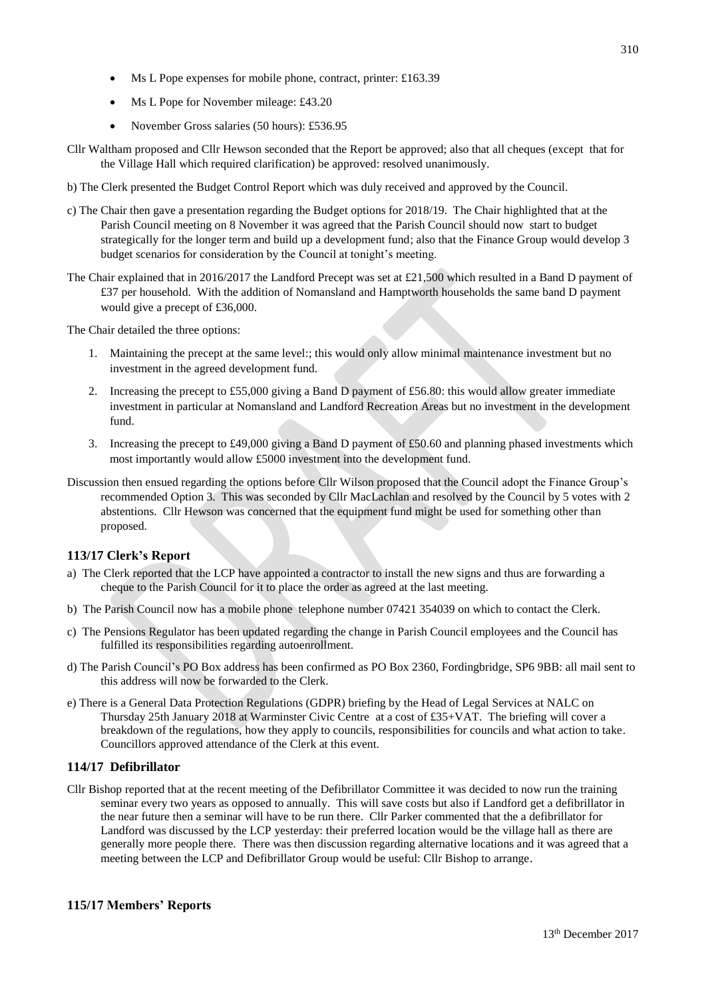- Ms L Pope expenses for mobile phone, contract, printer: £163.39
- Ms L Pope for November mileage: £43.20
- November Gross salaries (50 hours): £536.95
- Cllr Waltham proposed and Cllr Hewson seconded that the Report be approved; also that all cheques (except that for the Village Hall which required clarification) be approved: resolved unanimously.
- b) The Clerk presented the Budget Control Report which was duly received and approved by the Council.
- c) The Chair then gave a presentation regarding the Budget options for 2018/19. The Chair highlighted that at the Parish Council meeting on 8 November it was agreed that the Parish Council should now start to budget strategically for the longer term and build up a development fund; also that the Finance Group would develop 3 budget scenarios for consideration by the Council at tonight's meeting.
- The Chair explained that in 2016/2017 the Landford Precept was set at £21,500 which resulted in a Band D payment of £37 per household. With the addition of Nomansland and Hamptworth households the same band D payment would give a precept of £36,000.

The Chair detailed the three options:

- 1. Maintaining the precept at the same level:; this would only allow minimal maintenance investment but no investment in the agreed development fund.
- 2. Increasing the precept to £55,000 giving a Band D payment of £56.80: this would allow greater immediate investment in particular at Nomansland and Landford Recreation Areas but no investment in the development fund.
- 3. Increasing the precept to £49,000 giving a Band D payment of £50.60 and planning phased investments which most importantly would allow £5000 investment into the development fund.
- Discussion then ensued regarding the options before Cllr Wilson proposed that the Council adopt the Finance Group's recommended Option 3. This was seconded by Cllr MacLachlan and resolved by the Council by 5 votes with 2 abstentions. Cllr Hewson was concerned that the equipment fund might be used for something other than proposed.

## **113/17 Clerk's Report**

- a) The Clerk reported that the LCP have appointed a contractor to install the new signs and thus are forwarding a cheque to the Parish Council for it to place the order as agreed at the last meeting.
- b) The Parish Council now has a mobile phone telephone number 07421 354039 on which to contact the Clerk.
- c) The Pensions Regulator has been updated regarding the change in Parish Council employees and the Council has fulfilled its responsibilities regarding autoenrollment.
- d) The Parish Council's PO Box address has been confirmed as PO Box 2360, Fordingbridge, SP6 9BB: all mail sent to this address will now be forwarded to the Clerk.
- e) There is a General Data Protection Regulations (GDPR) briefing by the Head of Legal Services at NALC on Thursday 25th January 2018 at Warminster Civic Centre at a cost of £35+VAT. The briefing will cover a breakdown of the regulations, how they apply to councils, responsibilities for councils and what action to take. Councillors approved attendance of the Clerk at this event.

## **114/17 Defibrillator**

Cllr Bishop reported that at the recent meeting of the Defibrillator Committee it was decided to now run the training seminar every two years as opposed to annually. This will save costs but also if Landford get a defibrillator in the near future then a seminar will have to be run there. Cllr Parker commented that the a defibrillator for Landford was discussed by the LCP yesterday: their preferred location would be the village hall as there are generally more people there. There was then discussion regarding alternative locations and it was agreed that a meeting between the LCP and Defibrillator Group would be useful: Cllr Bishop to arrange.

## **115/17 Members' Reports**